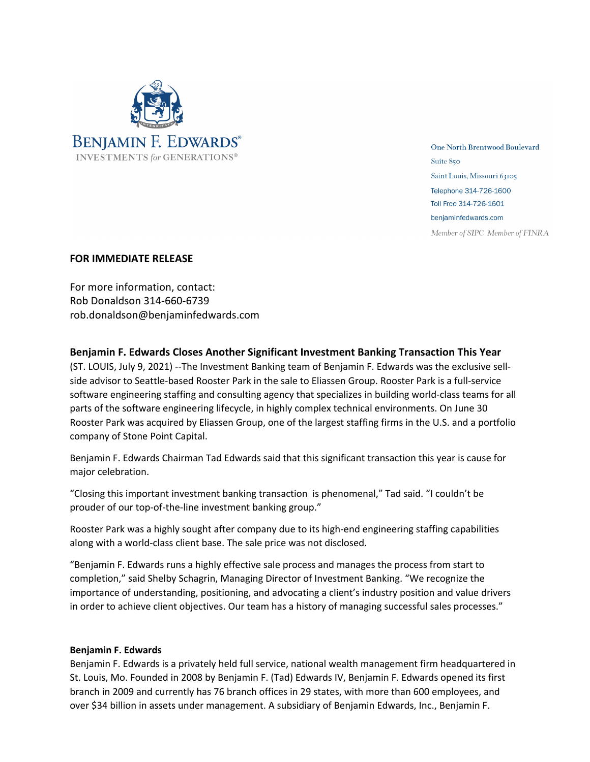

**One North Brentwood Boulevard** Suite 850 Saint Louis, Missouri 63105 Telephone 314-726-1600 Toll Free 314-726-1601 benjaminfedwards.com

Member of SIPC Member of FINRA

## **FOR IMMEDIATE RELEASE**

For more information, contact: Rob Donaldson 314-660-6739 rob.donaldson@benjaminfedwards.com

**Benjamin F. Edwards Closes Another Significant Investment Banking Transaction This Year**

(ST. LOUIS, July 9, 2021) --The Investment Banking team of Benjamin F. Edwards was the exclusive sellside advisor to Seattle-based Rooster Park in the sale to Eliassen Group. Rooster Park is a full-service software engineering staffing and consulting agency that specializes in building world-class teams for all parts of the software engineering lifecycle, in highly complex technical environments. On June 30 Rooster Park was acquired by Eliassen Group, one of the largest staffing firms in the U.S. and a portfolio company of Stone Point Capital.

Benjamin F. Edwards Chairman Tad Edwards said that this significant transaction this year is cause for major celebration.

"Closing this important investment banking transaction is phenomenal," Tad said. "I couldn't be prouder of our top-of-the-line investment banking group."

Rooster Park was a highly sought after company due to its high-end engineering staffing capabilities along with a world-class client base. The sale price was not disclosed.

"Benjamin F. Edwards runs a highly effective sale process and manages the process from start to completion," said Shelby Schagrin, Managing Director of Investment Banking. "We recognize the importance of understanding, positioning, and advocating a client's industry position and value drivers in order to achieve client objectives. Our team has a history of managing successful sales processes."

## **Benjamin F. Edwards**

Benjamin F. Edwards is a privately held full service, national wealth management firm headquartered in St. Louis, Mo. Founded in 2008 by Benjamin F. (Tad) Edwards IV, Benjamin F. Edwards opened its first branch in 2009 and currently has 76 branch offices in 29 states, with more than 600 employees, and over \$34 billion in assets under management. A subsidiary of Benjamin Edwards, Inc., Benjamin F.